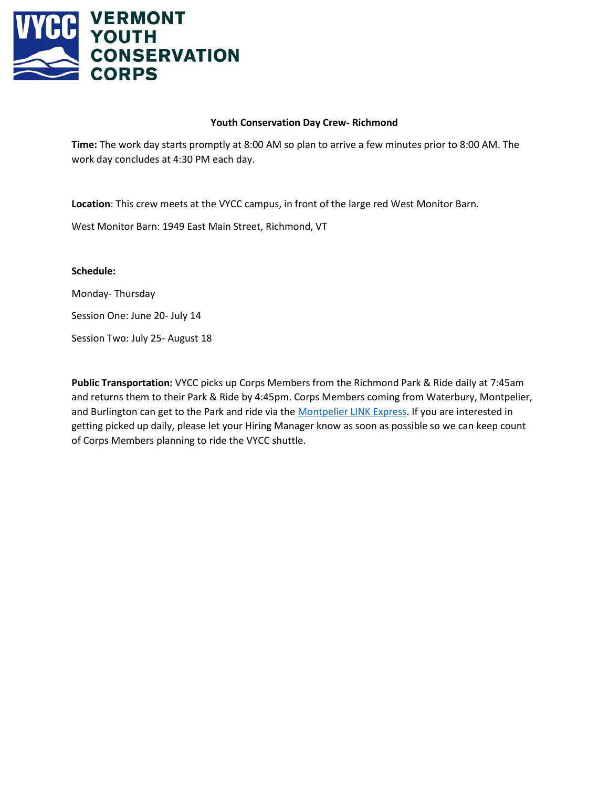

## **Youth Conservation Day Crew- Richmond**

**Time:** The work day starts promptly at 8:00 AM so plan to arrive a few minutes prior to 8:00 AM. The work day concludes at 4:30 PM each day.

**Location**: This crew meets at the VYCC campus, in front of the large red West Monitor Barn.

West Monitor Barn: 1949 East Main Street, Richmond, VT

**Schedule:**

Monday- Thursday

Session One: June 20- July 14

Session Two: July 25- August 18

**Public Transportation:** VYCC picks up Corps Members from the Richmond Park & Ride daily at 7:45am and returns them to their Park & Ride by 4:45pm. Corps Members coming from Waterbury, Montpelier, and Burlington can get to the Park and ride via th[e Montpelier LINK Express.](https://ridegmt.com/86-montpelier-link-express/) If you are interested in getting picked up daily, please let your Hiring Manager know as soon as possible so we can keep count of Corps Members planning to ride the VYCC shuttle.